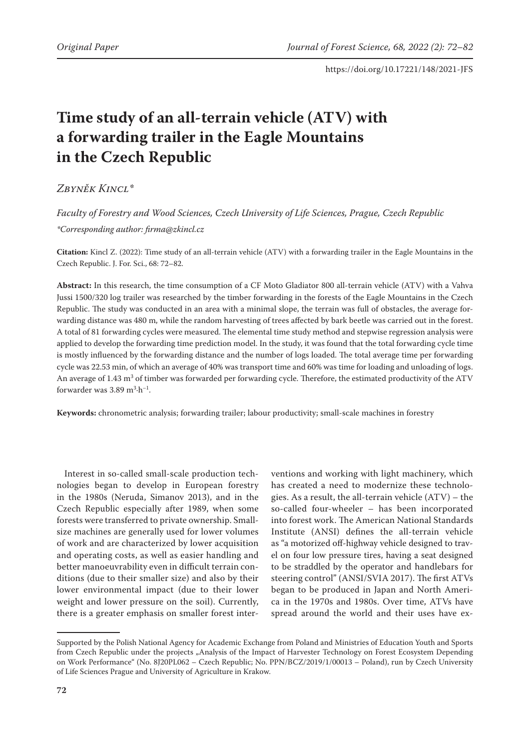# **Time study of an all-terrain vehicle (ATV) with a forwarding trailer in the Eagle Mountains in the Czech Republic**

*Zbyněk Kincl\**

*Faculty of Forestry and Wood Sciences, Czech University of Life Sciences, Prague, Czech Republic \*Corresponding author: firma@zkincl.cz*

**Citation:** Kincl Z. (2022): Time study of an all-terrain vehicle (ATV) with a forwarding trailer in the Eagle Mountains in the Czech Republic. J. For. Sci., 68: 72–82.

**Abstract:** In this research, the time consumption of a CF Moto Gladiator 800 all-terrain vehicle (ATV) with a Vahva Jussi 1500/320 log trailer was researched by the timber forwarding in the forests of the Eagle Mountains in the Czech Republic. The study was conducted in an area with a minimal slope, the terrain was full of obstacles, the average forwarding distance was 480 m, while the random harvesting of trees affected by bark beetle was carried out in the forest. A total of 81 forwarding cycles were measured. The elemental time study method and stepwise regression analysis were applied to develop the forwarding time prediction model. In the study, it was found that the total forwarding cycle time is mostly influenced by the forwarding distance and the number of logs loaded. The total average time per forwarding cycle was 22.53 min, of which an average of 40% was transport time and 60% was time for loading and unloading of logs. An average of 1.43 m<sup>3</sup> of timber was forwarded per forwarding cycle. Therefore, the estimated productivity of the ATV forwarder was  $3.89 \text{ m}^3 \cdot \text{h}^{-1}$ .

**Keywords:** chronometric analysis; forwarding trailer; labour productivity; small-scale machines in forestry

Interest in so-called small-scale production technologies began to develop in European forestry in the 1980s (Neruda, Simanov 2013), and in the Czech Republic especially after 1989, when some forests were transferred to private ownership. Smallsize machines are generally used for lower volumes of work and are characterized by lower acquisition and operating costs, as well as easier handling and better manoeuvrability even in difficult terrain conditions (due to their smaller size) and also by their lower environmental impact (due to their lower weight and lower pressure on the soil). Currently, there is a greater emphasis on smaller forest interventions and working with light machinery, which has created a need to modernize these technologies. As a result, the all-terrain vehicle  $(ATV)$  – the so-called four-wheeler – has been incorporated into forest work. The American National Standards Institute (ANSI) defines the all-terrain vehicle as "a motorized off-highway vehicle designed to travel on four low pressure tires, having a seat designed to be straddled by the operator and handlebars for steering control" (ANSI/SVIA 2017). The first ATVs began to be produced in Japan and North America in the 1970s and 1980s. Over time, ATVs have spread around the world and their uses have ex-

Supported by the Polish National Agency for Academic Exchange from Poland and Ministries of Education Youth and Sports from Czech Republic under the projects "Analysis of the Impact of Harvester Technology on Forest Ecosystem Depending on Work Performance" (No. 8J20PL062 – Czech Republic; No. PPN/BCZ/2019/1/00013 – Poland), run by Czech University of Life Sciences Prague and University of Agriculture in Krakow.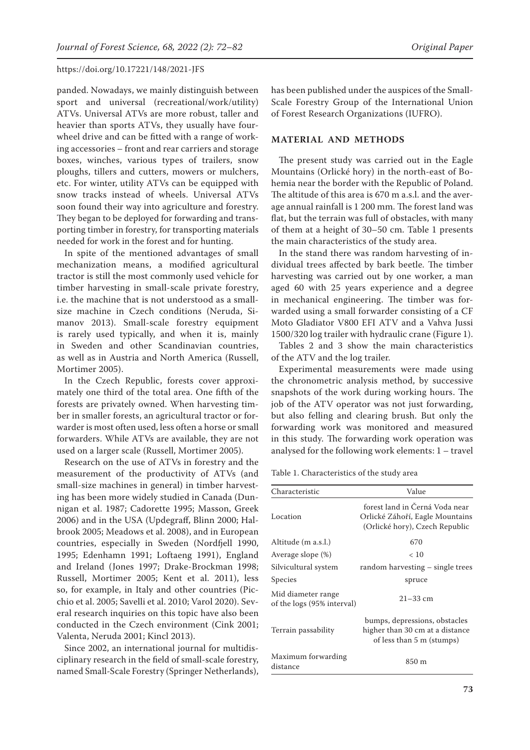panded. Nowadays, we mainly distinguish between sport and universal (recreational/work/utility) ATVs. Universal ATVs are more robust, taller and heavier than sports ATVs, they usually have fourwheel drive and can be fitted with a range of working accessories – front and rear carriers and storage boxes, winches, various types of trailers, snow ploughs, tillers and cutters, mowers or mulchers, etc. For winter, utility ATVs can be equipped with snow tracks instead of wheels. Universal ATVs soon found their way into agriculture and forestry. They began to be deployed for forwarding and transporting timber in forestry, for transporting materials needed for work in the forest and for hunting.

In spite of the mentioned advantages of small mechanization means, a modified agricultural tractor is still the most commonly used vehicle for timber harvesting in small-scale private forestry, i.e. the machine that is not understood as a smallsize machine in Czech conditions (Neruda, Simanov 2013). Small-scale forestry equipment is rarely used typically, and when it is, mainly in Sweden and other Scandinavian countries, as well as in Austria and North America (Russell, Mortimer 2005).

In the Czech Republic, forests cover approximately one third of the total area. One fifth of the forests are privately owned. When harvesting timber in smaller forests, an agricultural tractor or forwarder is most often used, less often a horse or small forwarders. While ATVs are available, they are not used on a larger scale (Russell, Mortimer 2005).

Research on the use of ATVs in forestry and the measurement of the productivity of ATVs (and small-size machines in general) in timber harvesting has been more widely studied in Canada (Dunnigan et al. 1987; Cadorette 1995; Masson, Greek 2006) and in the USA (Updegraff, Blinn 2000; Halbrook 2005; Meadows et al. 2008), and in European countries, especially in Sweden (Nordfjell 1990, 1995; Edenhamn 1991; Loftaeng 1991), England and Ireland (Jones 1997; Drake-Brockman 1998; Russell, Mortimer 2005; Kent et al. 2011), less so, for example, in Italy and other countries (Picchio et al. 2005; Savelli et al. 2010; Varol 2020). Several research inquiries on this topic have also been conducted in the Czech environment (Cink 2001; Valenta, Neruda 2001; Kincl 2013).

Since 2002, an international journal for multidisciplinary research in the field of small-scale forestry, named Small-Scale Forestry (Springer Netherlands), has been published under the auspices of the Small-Scale Forestry Group of the International Union of Forest Research Organizations (IUFRO).

#### **MATERIAL AND METHODS**

The present study was carried out in the Eagle Mountains (Orlické hory) in the north-east of Bohemia near the border with the Republic of Poland. The altitude of this area is 670 m a.s.l. and the average annual rainfall is 1 200 mm. The forest land was flat, but the terrain was full of obstacles, with many of them at a height of 30–50 cm. Table 1 presents the main characteristics of the study area.

In the stand there was random harvesting of individual trees affected by bark beetle. The timber harvesting was carried out by one worker, a man aged 60 with 25 years experience and a degree in mechanical engineering. The timber was forwarded using a small forwarder consisting of a CF Moto Gladiator V800 EFI ATV and a Vahva Jussi 1500/320 log trailer with hydraulic crane (Figure 1).

Tables 2 and 3 show the main characteristics of the ATV and the log trailer.

Experimental measurements were made using the chronometric analysis method, by successive snapshots of the work during working hours. The job of the ATV operator was not just forwarding, but also felling and clearing brush. But only the forwarding work was monitored and measured in this study. The forwarding work operation was analysed for the following work elements: 1 – travel

Table 1. Characteristics of the study area

| Characteristic                                   | Value                                                                                               |
|--------------------------------------------------|-----------------------------------------------------------------------------------------------------|
| Location                                         | forest land in Černá Voda near<br>Orlické Záhoří, Eagle Mountains<br>(Orlické hory), Czech Republic |
| Altitude (m a.s.l.)                              | 670                                                                                                 |
| Average slope (%)                                | < 10                                                                                                |
| Silvicultural system                             | random harvesting - single trees                                                                    |
| Species                                          | spruce                                                                                              |
| Mid diameter range<br>of the logs (95% interval) | $21 - 33$ cm                                                                                        |
| Terrain passability                              | bumps, depressions, obstacles<br>higher than 30 cm at a distance<br>of less than 5 m (stumps)       |
| Maximum forwarding<br>distance                   | 850 m                                                                                               |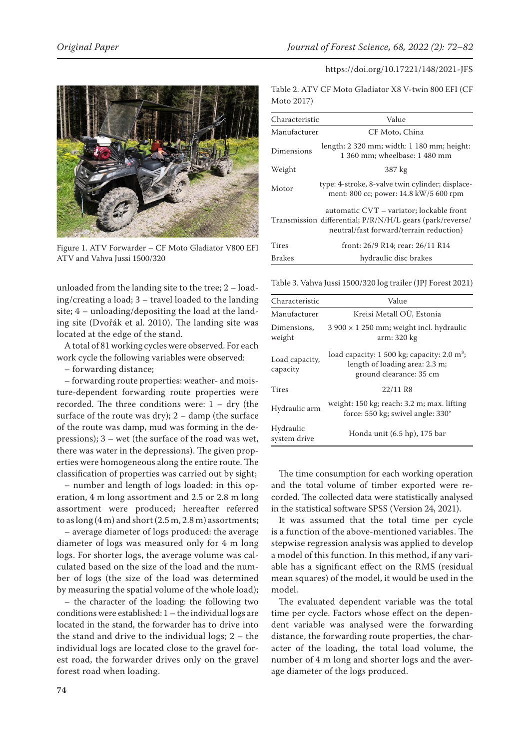

Figure 1. ATV Forwarder – CF Moto Gladiator V800 EFI ATV and Vahva Jussi 1500/320

unloaded from the landing site to the tree; 2 – loading/creating a load; 3 – travel loaded to the landing site; 4 – unloading/depositing the load at the landing site (Dvořák et al. 2010). The landing site was located at the edge of the stand.

A total of 81 working cycles were observed. For each work cycle the following variables were observed:

– forwarding distance;

– forwarding route properties: weather- and moisture-dependent forwarding route properties were recorded. The three conditions were: 1 – dry (the surface of the route was dry);  $2 - \text{damp}$  (the surface of the route was damp, mud was forming in the depressions); 3 – wet (the surface of the road was wet, there was water in the depressions). The given properties were homogeneous along the entire route. The classification of properties was carried out by sight;

– number and length of logs loaded: in this operation, 4 m long assortment and 2.5 or 2.8 m long assortment were produced; hereafter referred to as long  $(4 \text{ m})$  and short  $(2.5 \text{ m}, 2.8 \text{ m})$  assortments;

– average diameter of logs produced: the average diameter of logs was measured only for 4 m long logs. For shorter logs, the average volume was calculated based on the size of the load and the number of logs (the size of the load was determined by measuring the spatial volume of the whole load);

– the character of the loading: the following two conditions were established: 1 – the individual logs are located in the stand, the forwarder has to drive into the stand and drive to the individual logs; 2 – the individual logs are located close to the gravel forest road, the forwarder drives only on the gravel forest road when loading.

Table 2. ATV CF Moto Gladiator X8 V-twin 800 EFI (CF Moto 2017)

| Characteristic | Value                                                                                                                                              |
|----------------|----------------------------------------------------------------------------------------------------------------------------------------------------|
| Manufacturer   | CF Moto, China                                                                                                                                     |
| Dimensions     | length: 2 320 mm; width: 1 180 mm; height:<br>1 360 mm; wheelbase: 1 480 mm                                                                        |
| Weight         | 387 kg                                                                                                                                             |
| Motor          | type: 4-stroke, 8-valve twin cylinder; displace-<br>ment: 800 cc; power: 14.8 kW/5 600 rpm                                                         |
|                | automatic CVT - variator; lockable front<br>Transmission differential; $P/R/N/H/L$ gears (park/reverse/<br>neutral/fast forward/terrain reduction) |
| Tires          | front: 26/9 R14; rear: 26/11 R14                                                                                                                   |
| <b>Brakes</b>  | hydraulic disc brakes                                                                                                                              |

Table 3. Vahva Jussi 1500/320 log trailer (JPJ Forest 2021)

| Characteristic             | Value                                                                                                                         |
|----------------------------|-------------------------------------------------------------------------------------------------------------------------------|
| Manufacturer               | Kreisi Metall OÜ, Estonia                                                                                                     |
| Dimensions.<br>weight      | $3.900 \times 1.250$ mm; weight incl. hydraulic<br>arm: 320 kg                                                                |
| Load capacity,<br>capacity | load capacity: $1500 \text{ kg}$ ; capacity: $2.0 \text{ m}^3$ ;<br>length of loading area: 2.3 m;<br>ground clearance: 35 cm |
| Tires                      | 22/11 R8                                                                                                                      |
| Hydraulic arm              | weight: 150 kg; reach: 3.2 m; max. lifting<br>force: 550 kg; swivel angle: 330°                                               |
| Hydraulic<br>system drive  | Honda unit (6.5 hp), 175 bar                                                                                                  |

The time consumption for each working operation and the total volume of timber exported were recorded. The collected data were statistically analysed in the statistical software SPSS (Version 24, 2021).

It was assumed that the total time per cycle is a function of the above-mentioned variables. The stepwise regression analysis was applied to develop a model of this function. In this method, if any variable has a significant effect on the RMS (residual mean squares) of the model, it would be used in the model.

The evaluated dependent variable was the total time per cycle. Factors whose effect on the dependent variable was analysed were the forwarding distance, the forwarding route properties, the character of the loading, the total load volume, the number of 4 m long and shorter logs and the average diameter of the logs produced.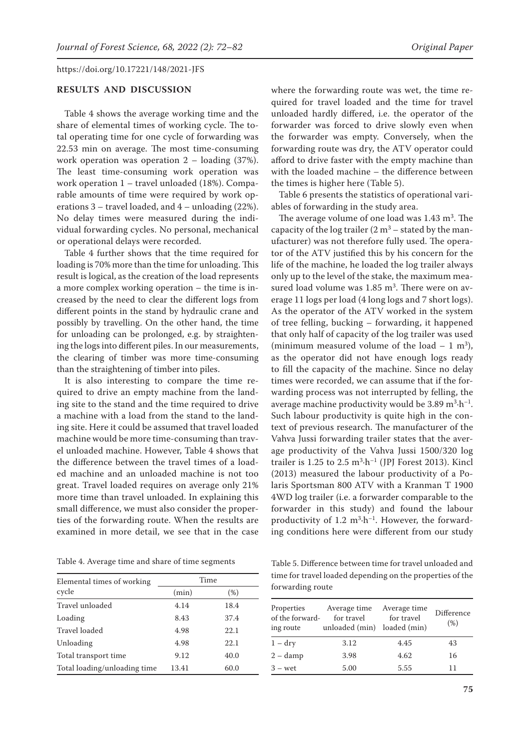## **RESULTS AND DISCUSSION**

Table 4 shows the average working time and the share of elemental times of working cycle. The total operating time for one cycle of forwarding was 22.53 min on average. The most time-consuming work operation was operation 2 – loading (37%). The least time-consuming work operation was work operation 1 – travel unloaded (18%). Comparable amounts of time were required by work operations 3 – travel loaded, and 4 – unloading (22%). No delay times were measured during the individual forwarding cycles. No personal, mechanical or operational delays were recorded.

Table 4 further shows that the time required for loading is 70% more than the time for unloading. This result is logical, as the creation of the load represents a more complex working operation – the time is increased by the need to clear the different logs from different points in the stand by hydraulic crane and possibly by travelling. On the other hand, the time for unloading can be prolonged, e.g. by straightening the logs into different piles. In our measurements, the clearing of timber was more time-consuming than the straightening of timber into piles.

It is also interesting to compare the time required to drive an empty machine from the landing site to the stand and the time required to drive a machine with a load from the stand to the landing site. Here it could be assumed that travel loaded machine would be more time-consuming than travel unloaded machine. However, Table 4 shows that the difference between the travel times of a loaded machine and an unloaded machine is not too great. Travel loaded requires on average only 21% more time than travel unloaded. In explaining this small difference, we must also consider the properties of the forwarding route. When the results are examined in more detail, we see that in the case

where the forwarding route was wet, the time required for travel loaded and the time for travel unloaded hardly differed, i.e. the operator of the forwarder was forced to drive slowly even when the forwarder was empty. Conversely, when the forwarding route was dry, the ATV operator could afford to drive faster with the empty machine than with the loaded machine – the difference between the times is higher here (Table 5).

Table 6 presents the statistics of operational variables of forwarding in the study area.

The average volume of one load was  $1.43 \text{ m}^3$ . The capacity of the log trailer  $(2 m<sup>3</sup> -$  stated by the manufacturer) was not therefore fully used. The operator of the ATV justified this by his concern for the life of the machine, he loaded the log trailer always only up to the level of the stake, the maximum measured load volume was  $1.85 \text{ m}^3$ . There were on average 11 logs per load (4 long logs and 7 short logs). As the operator of the ATV worked in the system of tree felling, bucking – forwarding, it happened that only half of capacity of the log trailer was used (minimum measured volume of the load  $-1$  m<sup>3</sup>), as the operator did not have enough logs ready to fill the capacity of the machine. Since no delay times were recorded, we can assume that if the forwarding process was not interrupted by felling, the average machine productivity would be  $3.89 \text{ m}^3 \cdot \text{h}^{-1}$ . Such labour productivity is quite high in the context of previous research. The manufacturer of the Vahva Jussi forwarding trailer states that the average productivity of the Vahva Jussi 1500/320 log trailer is  $1.25$  to  $2.5 \text{ m}^3 \cdot \text{h}^{-1}$  (JPJ Forest 2013). Kincl (2013) measured the labour productivity of a Polaris Sportsman 800 ATV with a Kranman T 1900 4WD log trailer (i.e. a forwarder comparable to the forwarder in this study) and found the labour productivity of  $1.2 \text{ m}^3 \cdot \text{h}^{-1}$ . However, the forwarding conditions here were different from our study

| Table 4. Average time and share of time segments |  |  |  |  |
|--------------------------------------------------|--|--|--|--|
|--------------------------------------------------|--|--|--|--|

| Elemental times of working   |       | Time |
|------------------------------|-------|------|
| cycle                        | (min) | (%)  |
| Travel unloaded              | 4.14  | 18.4 |
| Loading                      | 8.43  | 37.4 |
| Travel loaded                | 4.98  | 22.1 |
| Unloading                    | 4.98  | 22.1 |
| Total transport time         | 9.12  | 40.0 |
| Total loading/unloading time | 13.41 | 60.0 |

Table 5. Difference between time for travel unloaded and time for travel loaded depending on the properties of the forwarding route

| Properties<br>Average time Average time<br>of the forward-<br>for travel<br>unloaded (min) loaded (min)<br>ing route |      | for travel | Difference<br>(% ) |
|----------------------------------------------------------------------------------------------------------------------|------|------------|--------------------|
| $1 - dry$                                                                                                            | 3.12 | 4.45       | 43                 |
| $2 - \text{damp}$                                                                                                    | 3.98 | 4.62       | 16                 |
| $3 - wet$                                                                                                            | 5.00 | 5.55       | 11                 |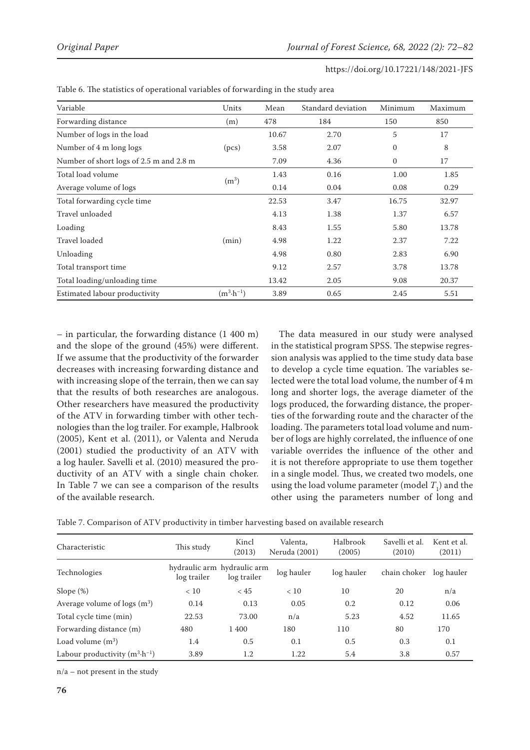| https://doi.org/10.17221/148/2021-JFS |  |
|---------------------------------------|--|
|---------------------------------------|--|

| Variable                                | Units                | Mean  | Standard deviation | Minimum      | Maximum |
|-----------------------------------------|----------------------|-------|--------------------|--------------|---------|
| Forwarding distance                     | (m)                  | 478   | 184                | 150          | 850     |
| Number of logs in the load              |                      | 10.67 | 2.70               | 5            | 17      |
| Number of 4 m long logs                 | (pcs)                | 3.58  | 2.07               | $\mathbf{0}$ | 8       |
| Number of short logs of 2.5 m and 2.8 m |                      | 7.09  | 4.36               | $\mathbf{0}$ | 17      |
| Total load volume                       |                      | 1.43  | 0.16               | 1.00         | 1.85    |
| Average volume of logs                  | (m <sup>3</sup> )    | 0.14  | 0.04               | 0.08         | 0.29    |
| Total forwarding cycle time             |                      | 22.53 | 3.47               | 16.75        | 32.97   |
| Travel unloaded                         |                      | 4.13  | 1.38               | 1.37         | 6.57    |
| Loading                                 |                      | 8.43  | 1.55               | 5.80         | 13.78   |
| Travel loaded                           | (min)                | 4.98  | 1.22               | 2.37         | 7.22    |
| Unloading                               |                      | 4.98  | 0.80               | 2.83         | 6.90    |
| Total transport time                    |                      | 9.12  | 2.57               | 3.78         | 13.78   |
| Total loading/unloading time            |                      | 13.42 | 2.05               | 9.08         | 20.37   |
| Estimated labour productivity           | $(m^3 \cdot h^{-1})$ | 3.89  | 0.65               | 2.45         | 5.51    |

Table 6. The statistics of operational variables of forwarding in the study area

– in particular, the forwarding distance (1 400 m) and the slope of the ground (45%) were different. If we assume that the productivity of the forwarder decreases with increasing forwarding distance and with increasing slope of the terrain, then we can say that the results of both researches are analogous. Other researchers have measured the productivity of the ATV in forwarding timber with other technologies than the log trailer. For example, Halbrook (2005), Kent et al. (2011), or Valenta and Neruda (2001) studied the productivity of an ATV with a log hauler. Savelli et al. (2010) measured the productivity of an ATV with a single chain choker. In Table 7 we can see a comparison of the results of the available research.

The data measured in our study were analysed in the statistical program SPSS. The stepwise regression analysis was applied to the time study data base to develop a cycle time equation. The variables selected were the total load volume, the number of 4 m long and shorter logs, the average diameter of the logs produced, the forwarding distance, the properties of the forwarding route and the character of the loading. The parameters total load volume and number of logs are highly correlated, the influence of one variable overrides the influence of the other and it is not therefore appropriate to use them together in a single model. Thus, we created two models, one using the load volume parameter (model  $T_1$ ) and the other using the parameters number of long and

Table 7. Comparison of ATV productivity in timber harvesting based on available research

| Characteristic                           | This study                                 | Kincl<br>(2013) | Valenta.<br>Neruda (2001) | Halbrook<br>(2005) | Savelli et al.<br>(2010) | Kent et al.<br>(2011) |
|------------------------------------------|--------------------------------------------|-----------------|---------------------------|--------------------|--------------------------|-----------------------|
| Technologies                             | hydraulic arm hydraulic arm<br>log trailer | log trailer     | log hauler                | log hauler         | chain choker             | log hauler            |
| Slope $(\%)$                             | < 10                                       | < 45            | < 10                      | 10                 | 20                       | n/a                   |
| Average volume of logs $(m^3)$           | 0.14                                       | 0.13            | 0.05                      | 0.2                | 0.12                     | 0.06                  |
| Total cycle time (min)                   | 22.53                                      | 73.00           | n/a                       | 5.23               | 4.52                     | 11.65                 |
| Forwarding distance (m)                  | 480                                        | 1 400           | 180                       | 110                | 80                       | 170                   |
| Load volume $(m^3)$                      | 1.4                                        | 0.5             | 0.1                       | 0.5                | 0.3                      | 0.1                   |
| Labour productivity $(m^3 \cdot h^{-1})$ | 3.89                                       | 1.2             | 1.22                      | 5.4                | 3.8                      | 0.57                  |

n/a – not present in the study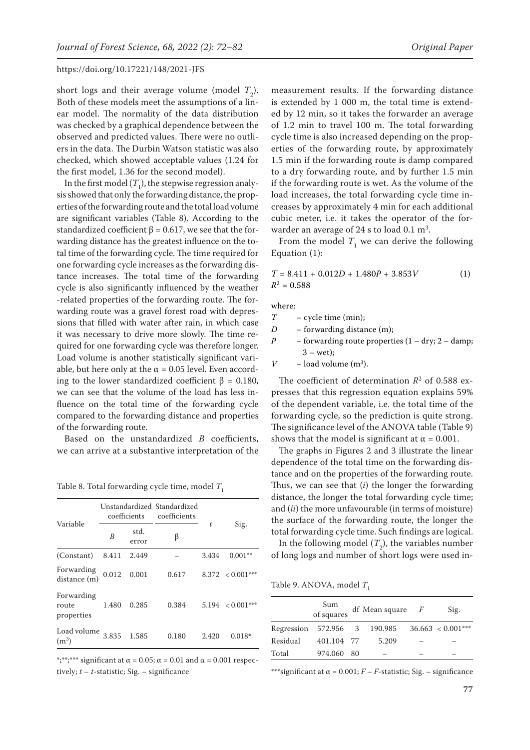short logs and their average volume (model  $T_2$ ). Both of these models meet the assumptions of a linear model. The normality of the data distribution was checked by a graphical dependence between the observed and predicted values. There were no outliers in the data. The Durbin Watson statistic was also checked, which showed acceptable values (1.24 for the first model, 1.36 for the second model).

In the first model  $(T^{}_1)$ , the stepwise regression analysis showed that only the forwarding distance, the properties of the forwarding route and the total load volume are significant variables (Table 8). According to the standardized coefficient  $\beta$  = 0.617, we see that the forwarding distance has the greatest influence on the total time of the forwarding cycle. The time required for one forwarding cycle increases as the forwarding distance increases. The total time of the forwarding cycle is also significantly influenced by the weather -related properties of the forwarding route. The forwarding route was a gravel forest road with depressions that filled with water after rain, in which case it was necessary to drive more slowly. The time required for one forwarding cycle was therefore longer. Load volume is another statistically significant variable, but here only at the  $\alpha$  = 0.05 level. Even according to the lower standardized coefficient  $β = 0.180$ , we can see that the volume of the load has less influence on the total time of the forwarding cycle compared to the forwarding distance and properties of the forwarding route.

Based on the unstandardized *B* coefficients, we can arrive at a substantive interpretation of the

Variable Unstandardized Standardized coefficients coefficients *t* Sig. *<sup>B</sup>* std. error <sup>β</sup> (Constant) 8.411 2.449 – 3.434 0.001\*\* Forwarding distance (m)  $0.012$   $0.001$   $0.617$   $8.372$   $< 0.001***$ Forwarding route properties 1.480 0.285 0.384 5.194 < 0.001\*\*\* Load volume (m3) 3.835 1.585 0.180 2.420 0.018**\***

Table 8. Total forwarding cycle time, model  $T_1$ 

\*;\*\*;\*\*\* significant at  $\alpha = 0.05$ ;  $\alpha = 0.01$  and  $\alpha = 0.001$  respectively;  $t - t$ -statistic; Sig. – significance

measurement results. If the forwarding distance is extended by 1 000 m, the total time is extended by 12 min, so it takes the forwarder an average of 1.2 min to travel 100 m. The total forwarding cycle time is also increased depending on the properties of the forwarding route, by approximately 1.5 min if the forwarding route is damp compared to a dry forwarding route, and by further 1.5 min if the forwarding route is wet. As the volume of the load increases, the total forwarding cycle time increases by approximately 4 min for each additional cubic meter, i.e. it takes the operator of the forwarder an average of 24 s to load  $0.1 \text{ m}^3$ .

From the model  $T_1$  we can derive the following Equation (1):

$$
T = 8.411 + 0.012D + 1.480P + 3.853V
$$
 (1)  

$$
R2 = 0.588
$$

where:

- *T* cycle time (min);
- *D* forwarding distance (m);
- *P* forwarding route properties  $(1 dry; 2 damp;$  $3 - wet$ ;
- *V* load volume  $(m^3)$ .

The coefficient of determination  $R^2$  of 0.588 expresses that this regression equation explains 59% of the dependent variable, i.e. the total time of the forwarding cycle, so the prediction is quite strong. The significance level of the ANOVA table (Table 9) shows that the model is significant at  $\alpha = 0.001$ .

The graphs in Figures 2 and 3 illustrate the linear dependence of the total time on the forwarding distance and on the properties of the forwarding route. Thus, we can see that (*i*) the longer the forwarding distance, the longer the total forwarding cycle time; and (*ii*) the more unfavourable (in terms of moisture) the surface of the forwarding route, the longer the total forwarding cycle time. Such findings are logical.

In the following model  $(T_2)$ , the variables number of long logs and number of short logs were used in-

Table 9. ANOVA, model  $T_1$ 

|                              | Sum<br>of squares | df Mean square $F$ | Sig.                   |
|------------------------------|-------------------|--------------------|------------------------|
| Regression 572.956 3 190.985 |                   |                    | $36.663 \leq 0.001***$ |
| Residual                     | 401.104 77        | 5.209              |                        |
| Total                        | 974.060 80        |                    |                        |

\*\*\*significant at  $\alpha$  = 0.001;  $F - F$ -statistic; Sig. – significance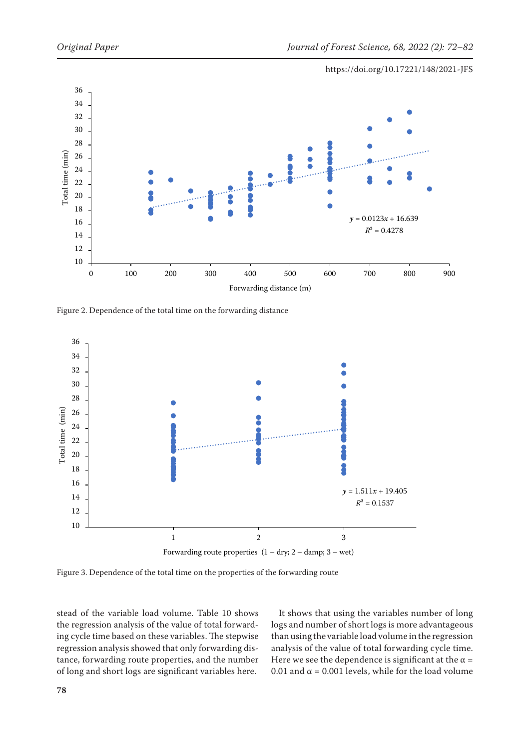

Figure 2. Dependence of the total time on the forwarding distance



Figure 3. Dependence of the total time on the properties of the forwarding route

stead of the variable load volume. Table 10 shows the regression analysis of the value of total forwarding cycle time based on these variables. The stepwise regression analysis showed that only forwarding distance, forwarding route properties, and the number of long and short logs are significant variables here.

It shows that using the variables number of long logs and number of short logs is more advantageous than using the variable load volume in the regression analysis of the value of total forwarding cycle time. Here we see the dependence is significant at the  $\alpha$  = 0.01 and  $\alpha$  = 0.001 levels, while for the load volume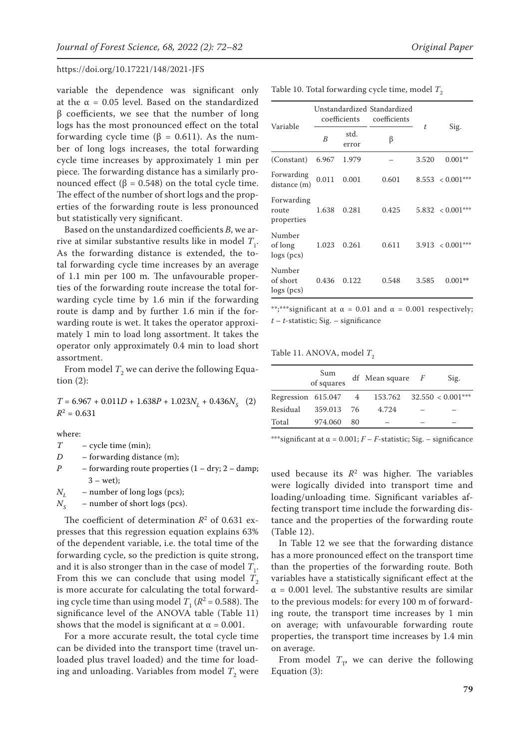variable the dependence was significant only at the  $\alpha$  = 0.05 level. Based on the standardized β coefficients, we see that the number of long logs has the most pronounced effect on the total forwarding cycle time (β = 0.611). As the number of long logs increases, the total forwarding cycle time increases by approximately  $1$  min  $p$ piece. The forwarding distance has a similarly pronounced effect (β = 0.548) on the total cycle time. The effect of the number of short logs and the properties of the forwarding route is less pronounce but statistically very significant.

Based on the unstandardized coefficients *B*, we arrive at similar substantive results like in model  $T_1$ . As the forwarding distance is extended, the total forwarding cycle time increases by an average of 1.1 min per 100 m. The unfavourable properties of the forwarding route increase the total forwarding cycle time by 1.6 min if the forwarding route is damp and by further 1.6 min if the forwarding route is wet. It takes the operator approximately 1 min to load long assortment. It takes the operator only approximately 0.4 min to load short assortment.

From model  $T^2_\mathrm{2}$  we can derive the following Equation (2):

 $T = 6.967 + 0.011D + 1.638P + 1.023N_L + 0.436N_S$  (2)  $R^2 = 0.631$ 

where:

*T* – cycle time (min);

*D* – forwarding distance (m);

*P* – forwarding route properties  $(1 - dry; 2 - damp;$  $3 - wet$ :

 $N<sub>r</sub>$  – number of long logs (pcs);

 $N_c$  – number of short logs (pcs).

The coefficient of determination  $R^2$  of 0.631 expresses that this regression equation explains 63% of the dependent variable, i.e. the total time of the forwarding cycle, so the prediction is quite strong, and it is also stronger than in the case of model  $T_{1}$ . From this we can conclude that using model  $T_2$ is more accurate for calculating the total forwarding cycle time than using model  $T_1$  ( $R^2$  = 0.588). The significance level of the ANOVA table (Table 11) shows that the model is significant at  $\alpha = 0.001$ .

For a more accurate result, the total cycle time can be divided into the transport time (travel unloaded plus travel loaded) and the time for loading and unloading. Variables from model  $T_{\rm 2}$  were

|                                             |       | error | ß     |       |                    |
|---------------------------------------------|-------|-------|-------|-------|--------------------|
| (Constant) 6.967 1.979                      |       |       |       | 3.520 | $0.001**$          |
| $\operatorname{Forwarding}$<br>distance (m) | 0.011 | 0.001 | 0.601 |       | $8.553 < 0.001***$ |
| Forwarding<br>route<br>properties           | 1.638 | 0.281 | 0.425 |       | $5.832 < 0.001***$ |
| <b>AT</b> 1                                 |       |       |       |       |                    |

coefficients

*<sup>B</sup>* std.

Variable

Table 10. Total forwarding cycle time, model  $T_2$ 

Unstandardized Standardized

coefficients

Number of long logs (pcs) 1.023 0.261 0.611 3.913 < 0.001\*\*\* Number of short logs (pcs) 0.436 0.122 0.548 3.585 0.001**\*\***

\*\*;\*\*\*significant at  $\alpha = 0.01$  and  $\alpha = 0.001$  respectively; *t* – *t*-statistic; Sig. – significance

Table 11. ANOVA, model  $T_2$ 

|          | Sum<br>of squares      |    | df Mean square $F$            | Sig. |
|----------|------------------------|----|-------------------------------|------|
|          | Regression $615.047$ 4 |    | $153.762$ $32.550 < 0.001***$ |      |
| Residual | 359.013 76             |    | 4.724                         |      |
| Total    | 974.060                | 80 |                               |      |

\*\*\*significant at  $\alpha$  = 0.001;  $F - F$ -statistic; Sig. – significance

used because its  $R^2$  was higher. The variables were logically divided into transport time and loading/unloading time. Significant variables affecting transport time include the forwarding distance and the properties of the forwarding route (Table 12).

In Table 12 we see that the forwarding distance has a more pronounced effect on the transport time than the properties of the forwarding route. Both variables have a statistically significant effect at the  $\alpha$  = 0.001 level. The substantive results are similar to the previous models: for every 100 m of forwarding route, the transport time increases by 1 min on average; with unfavourable forwarding route properties, the transport time increases by 1.4 min on average.

From model  $T_{\tau}$ , we can derive the following Equation (3):

*t* Sig.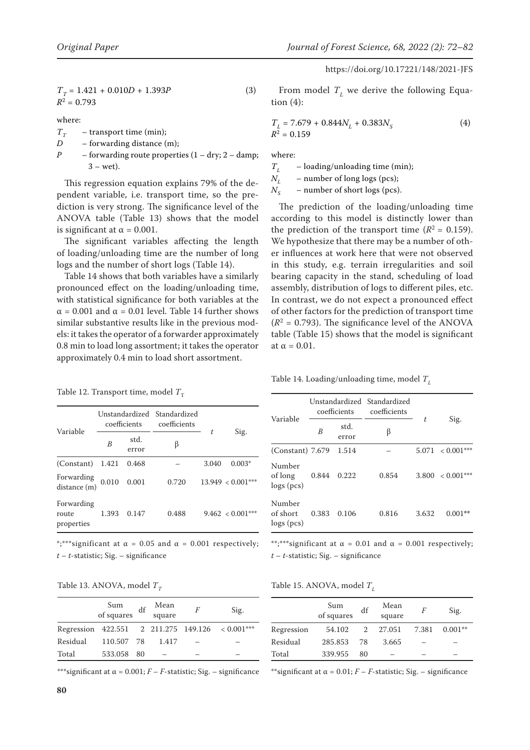https://doi.org/10.17221/148/2021-JFS

$$
T_T = 1.421 + 0.010D + 1.393P
$$
  
\n
$$
R^2 = 0.793
$$
\n(3)

where:

 $T_T$  – transport time (min);<br>*D* – forwarding distance (

- forwarding distance (m);
- *P* forwarding route properties  $(1 dry; 2 damp;$  $3 - wet$ ).

This regression equation explains 79% of the dependent variable, i.e. transport time, so the prediction is very strong. The significance level of the ANOVA table (Table 13) shows that the model is significant at  $\alpha = 0.001$ .

The significant variables affecting the length of loading/unloading time are the number of long logs and the number of short logs (Table 14).

Table 14 shows that both variables have a similarly pronounced effect on the loading/unloading time, with statistical significance for both variables at the  $\alpha$  = 0.001 and  $\alpha$  = 0.01 level. Table 14 further shows similar substantive results like in the previous models: it takes the operator of a forwarder approximately 0.8 min to load long assortment; it takes the operator approximately 0.4 min to load short assortment.

Table 12. Transport time, model  $T_{\text{T}}$ 

| Variable                          | Unstandardized Standardized<br>coefficients |               | coefficients |       |                     |
|-----------------------------------|---------------------------------------------|---------------|--------------|-------|---------------------|
|                                   | B                                           | std.<br>error | β            | t     | Sig.                |
| (Constant)                        | 1.421                                       | 0.468         |              | 3.040 | $0.003*$            |
| Forwarding<br>distance (m)        | 0.010                                       | 0.001         | 0.720        |       | $13.949 < 0.001***$ |
| Forwarding<br>route<br>properties | 1.393                                       | 0.147         | 0.488        |       | $9.462 < 0.001***$  |

\*;\*\*\*significant at  $\alpha = 0.05$  and  $\alpha = 0.001$  respectively; *t* – *t*-statistic; Sig. – significance

Table 13. ANOVA, model  $T<sub>T</sub>$ 

|          | Sum<br>of squares | df | Mean<br>square | F | Sig.                                              |
|----------|-------------------|----|----------------|---|---------------------------------------------------|
|          |                   |    |                |   | Regression $422.551$ 2 211.275 149.126 < 0.001*** |
| Residual | 110.507 78        |    | 1.417          |   |                                                   |
| Total    | 533.058 80        |    |                |   |                                                   |

\*\*\*significant at  $\alpha$  = 0.001;  $F - F$ -statistic; Sig. – significance

From model  $T<sub>L</sub>$  we derive the following Equation (4):

$$
T_L = 7.679 + 0.844N_L + 0.383N_S \tag{4}
$$
  

$$
R^2 = 0.159
$$

where:

 $T<sub>L</sub>$  – loading/unloading time (min);  $N_L$  – number of long logs (pcs);<br> $N_S$  – number of short logs (pcs)

- number of short logs (pcs).

The prediction of the loading/unloading time according to this model is distinctly lower than the prediction of the transport time  $(R^2 = 0.159)$ . We hypothesize that there may be a number of other influences at work here that were not observed in this study, e.g. terrain irregularities and soil bearing capacity in the stand, scheduling of load assembly, distribution of logs to different piles, etc. In contrast, we do not expect a pronounced effect of other factors for the prediction of transport time  $(R<sup>2</sup> = 0.793)$ . The significance level of the ANOVA table (Table 15) shows that the model is significant at  $\alpha = 0.01$ .

Table 14. Loading/unloading time, model  $T<sub>L</sub>$ 

| Variable                             | Unstandardized Standardized<br>coefficients |               | coefficients |       |              |
|--------------------------------------|---------------------------------------------|---------------|--------------|-------|--------------|
|                                      | B                                           | std.<br>error | β            | t     | Sig.         |
| $(Constant)$ 7.679                   |                                             | 1.514         |              | 5.071 | $< 0.001***$ |
| Number<br>of long<br>$\log s$ (pcs)  | 0.844                                       | 0.222         | 0.854        | 3.800 | $< 0.001***$ |
| Number<br>of short<br>$\log s$ (pcs) | 0.383                                       | 0.106         | 0.816        | 3.632 | $0.001**$    |

\*\*;\*\*\*significant at  $\alpha = 0.01$  and  $\alpha = 0.001$  respectively; *t* – *t*-statistic; Sig. – significance

Table 15. ANOVA, model  $T_L$ 

|            | Sum<br>of squares | df | Mean<br>square |       | Sig.      |
|------------|-------------------|----|----------------|-------|-----------|
| Regression | 54.102            | 2  | 27.051         | 7.381 | $0.001**$ |
| Residual   | 285.853           | 78 | 3.665          |       |           |
| Total      | 339.955           | 80 |                |       |           |

\*\*significant at  $\alpha = 0.01$ ;  $F - F$ -statistic; Sig. – significance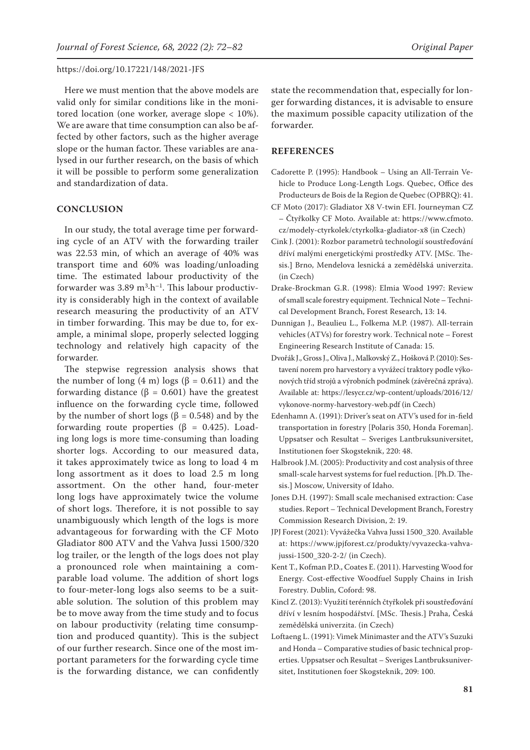Here we must mention that the above models are valid only for similar conditions like in the monitored location (one worker, average slope < 10%). We are aware that time consumption can also be affected by other factors, such as the higher average slope or the human factor. These variables are analysed in our further research, on the basis of which it will be possible to perform some generalization and standardization of data.

## **CONCLUSION**

In our study, the total average time per forwarding cycle of an ATV with the forwarding trailer was 22.53 min, of which an average of 40% was transport time and 60% was loading/unloading time. The estimated labour productivity of the forwarder was  $3.89 \text{ m}^3 \cdot \text{h}^{-1}$ . This labour productivity is considerably high in the context of available research measuring the productivity of an ATV in timber forwarding. This may be due to, for example, a minimal slope, properly selected logging technology and relatively high capacity of the forwarder.

The stepwise regression analysis shows that the number of long  $(4 \text{ m})$  logs  $(β = 0.611)$  and the forwarding distance (β = 0.601) have the greatest influence on the forwarding cycle time, followed by the number of short logs (β = 0.548) and by the forwarding route properties ( $\beta$  = 0.425). Loading long logs is more time-consuming than loading shorter logs. According to our measured data, it takes approximately twice as long to load 4 m long assortment as it does to load 2.5 m long assortment. On the other hand, four-meter long logs have approximately twice the volume of short logs. Therefore, it is not possible to say unambiguously which length of the logs is more advantageous for forwarding with the CF Moto Gladiator 800 ATV and the Vahva Jussi 1500/320 log trailer, or the length of the logs does not play a pronounced role when maintaining a comparable load volume. The addition of short logs to four-meter-long logs also seems to be a suitable solution. The solution of this problem may be to move away from the time study and to focus on labour productivity (relating time consumption and produced quantity). This is the subject of our further research. Since one of the most important parameters for the forwarding cycle time is the forwarding distance, we can confidently state the recommendation that, especially for longer forwarding distances, it is advisable to ensure the maximum possible capacity utilization of the forwarder.

## **REFERENCES**

- Cadorette P. (1995): Handbook Using an All-Terrain Vehicle to Produce Long-Length Logs. Quebec, Office des Producteurs de Bois de la Region de Quebec (OPBRQ): 41.
- CF Moto (2017): Gladiator X8 V-twin EFI. Journeyman CZ – Čtyřkolky CF Moto. Available at: https://www.cfmoto. cz/modely-ctyrkolek/ctyrkolka-gladiator-x8 (in Czech)
- Cink J. (2001): Rozbor parametrů technologií soustřeďování dříví malými energetickými prostředky ATV. [MSc. Thesis.] Brno, Mendelova lesnická a zemědělská univerzita. (in Czech)
- Drake-Brockman G.R. (1998): Elmia Wood 1997: Review of small scale forestry equipment. Technical Note – Technical Development Branch, Forest Research, 13: 14.
- Dunnigan J., Beaulieu L., Folkema M.P. (1987). All-terrain vehicles (ATVs) for forestry work. Technical note – Forest Engineering Research Institute of Canada: 15.
- Dvořák J., Gross J., Oliva J., Malkovský Z., Hošková P. (2010): Sestavení norem pro harvestory a vyvážecí traktory podle výkonových tříd strojů a výrobních podmínek (závěrečná zpráva). Available at: https://lesycr.cz/wp-content/uploads/2016/12/ vykonove-normy-harvestory-web.pdf (in Czech)
- Edenhamn A. (1991): Driver's seat on ATV's used for in-field transportation in forestry [Polaris 350, Honda Foreman]. Uppsatser och Resultat – Sveriges Lantbruksuniversitet, Institutionen foer Skogsteknik, 220: 48.
- Halbrook J.M. (2005): Productivity and cost analysis of three small-scale harvest systems for fuel reduction. [Ph.D. Thesis.] Moscow, University of Idaho.
- Jones D.H. (1997): Small scale mechanised extraction: Case studies. Report – Technical Development Branch, Forestry Commission Research Division, 2: 19.
- JPJ Forest (2021): Vyvážečka Vahva Jussi 1500\_320. Available at: https://www.jpjforest.cz/produkty/vyvazecka-vahvajussi-1500\_320-2-2/ (in Czech).
- Kent T., Kofman P.D., Coates E. (2011). Harvesting Wood for Energy. Cost-effective Woodfuel Supply Chains in Irish Forestry. Dublin, Coford: 98.
- Kincl Z. (2013): Využití terénních čtyřkolek při soustřeďování dříví v lesním hospodářství. [MSc. Thesis.] Praha, Česká zemědělská univerzita. (in Czech)
- Loftaeng L. (1991): Vimek Minimaster and the ATV's Suzuki and Honda – Comparative studies of basic technical properties. Uppsatser och Resultat – Sveriges Lantbruksuniversitet, Institutionen foer Skogsteknik, 209: 100.